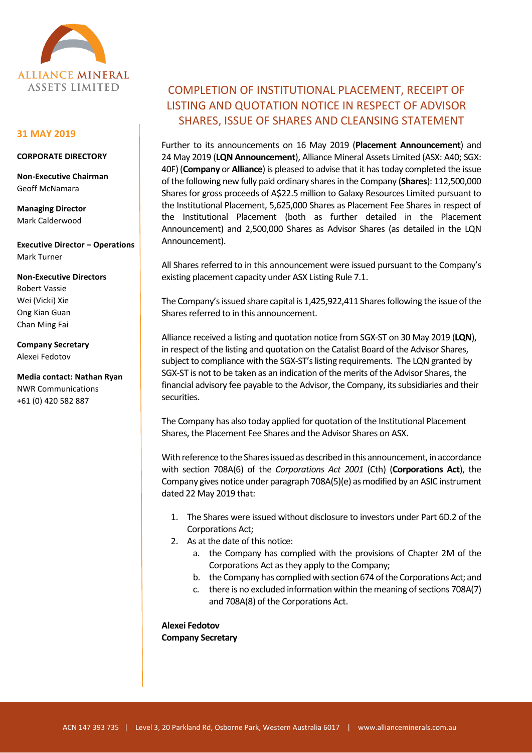

## **31 MAY 2019**

## **CORPORATE DIRECTORY**

**Non-Executive Chairman** Geoff McNamara

**Managing Director** Mark Calderwood

**Executive Director – Operations** Mark Turner

**Non-Executive Directors** Robert Vassie Wei (Vicki) Xie Ong Kian Guan Chan Ming Fai

**Company Secretary** Alexei Fedotov

**Media contact: Nathan Ryan** NWR Communications +61 (0) 420 582 887

## COMPLETION OF INSTITUTIONAL PLACEMENT, RECEIPT OF LISTING AND QUOTATION NOTICE IN RESPECT OF ADVISOR SHARES, ISSUE OF SHARES AND CLEANSING STATEMENT

Further to its announcements on 16 May 2019 (**Placement Announcement**) and 24 May 2019 (**LQN Announcement**), Alliance Mineral Assets Limited (ASX: A40; SGX: 40F) (**Company** or **Alliance**) is pleased to advise that it has today completed the issue of the following new fully paid ordinary shares in the Company (**Shares**): 112,500,000 Shares for gross proceeds of A\$22.5 million to Galaxy Resources Limited pursuant to the Institutional Placement, 5,625,000 Shares as Placement Fee Shares in respect of the Institutional Placement (both as further detailed in the Placement Announcement) and 2,500,000 Shares as Advisor Shares (as detailed in the LQN Announcement).

All Shares referred to in this announcement were issued pursuant to the Company's existing placement capacity under ASX Listing Rule 7.1.

The Company's issued share capital is 1,425,922,411 Shares following the issue of the Shares referred to in this announcement.

Alliance received a listing and quotation notice from SGX-ST on 30 May 2019 (**LQN**), in respect of the listing and quotation on the Catalist Board of the Advisor Shares, subject to compliance with the SGX-ST's listing requirements. The LQN granted by SGX-ST is not to be taken as an indication of the merits of the Advisor Shares, the financial advisory fee payable to the Advisor, the Company, its subsidiaries and their securities.

The Company has also today applied for quotation of the Institutional Placement Shares, the Placement Fee Shares and the Advisor Shares on ASX.

With reference to the Shares issued as described in this announcement, in accordance with section 708A(6) of the *Corporations Act 2001* (Cth) (**Corporations Act**), the Company gives notice under paragraph 708A(5)(e) as modified by an ASIC instrument dated 22 May 2019 that:

- 1. The Shares were issued without disclosure to investors under Part 6D.2 of the Corporations Act;
- 2. As at the date of this notice:
	- a. the Company has complied with the provisions of Chapter 2M of the Corporations Act as they apply to the Company;
	- b. the Company has complied with section 674 of the Corporations Act; and
	- c. there is no excluded information within the meaning of sections 708A(7) and 708A(8) of the Corporations Act.

**Alexei Fedotov Company Secretary**